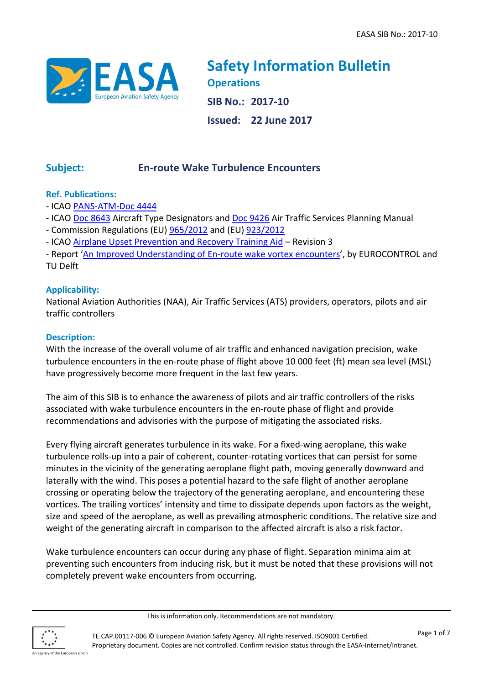

**Safety Information Bulletin Operations SIB No.: 2017-10 Issued: 22 June 2017**

# **Subject: En-route Wake Turbulence Encounters**

# **Ref. Publications:**

- ICAO [PANS-ATM-Doc 4444](https://www.icao.int/airnavigation/Lists/T_Documents/DispForm.aspx?ID=83)
- ICAO [Doc 8643](https://www.icao.int/publications/DOC8643) Aircraft Type Designators and [Doc 9426](https://www.icao.int/airnavigation/Lists/T_Documents/DispForm.aspx?ID=51) Air Traffic Services Planning Manual
- Commission Regulations (EU) [965/2012](http://eur-lex.europa.eu/legal-content/EN/TXT/PDF/?uri=CELEX:02012R0965-20160825&from=EN) and (EU) [923/2012](http://eur-lex.europa.eu/legal-content/EN/TXT/PDF/?uri=CELEX:32012R0923&from=EN)
- ICAO [Airplane Upset Prevention and Recovery Training Aid](https://www.icao.int/safety/LOCI/AUPRTA/index.html) Revision 3

- Report '[An Improved Understanding of En-route wake vortex encounters](http://www.skybrary.aero/bookshelf/books/2510.pdf)', by EUROCONTROL and TU Delft

# **Applicability:**

National Aviation Authorities (NAA), Air Traffic Services (ATS) providers, operators, pilots and air traffic controllers

# **Description:**

With the increase of the overall volume of air traffic and enhanced navigation precision, wake turbulence encounters in the en-route phase of flight above 10 000 feet (ft) mean sea level (MSL) have progressively become more frequent in the last few years.

The aim of this SIB is to enhance the awareness of pilots and air traffic controllers of the risks associated with wake turbulence encounters in the en-route phase of flight and provide recommendations and advisories with the purpose of mitigating the associated risks.

Every flying aircraft generates turbulence in its wake. For a fixed-wing aeroplane, this wake turbulence rolls-up into a pair of coherent, counter-rotating vortices that can persist for some minutes in the vicinity of the generating aeroplane flight path, moving generally downward and laterally with the wind. This poses a potential hazard to the safe flight of another aeroplane crossing or operating below the trajectory of the generating aeroplane, and encountering these vortices. The trailing vortices' intensity and time to dissipate depends upon factors as the weight, size and speed of the aeroplane, as well as prevailing atmospheric conditions. The relative size and weight of the generating aircraft in comparison to the affected aircraft is also a risk factor.

Wake turbulence encounters can occur during any phase of flight. Separation minima aim at preventing such encounters from inducing risk, but it must be noted that these provisions will not completely prevent wake encounters from occurring.

This is information only. Recommendations are not mandatory.

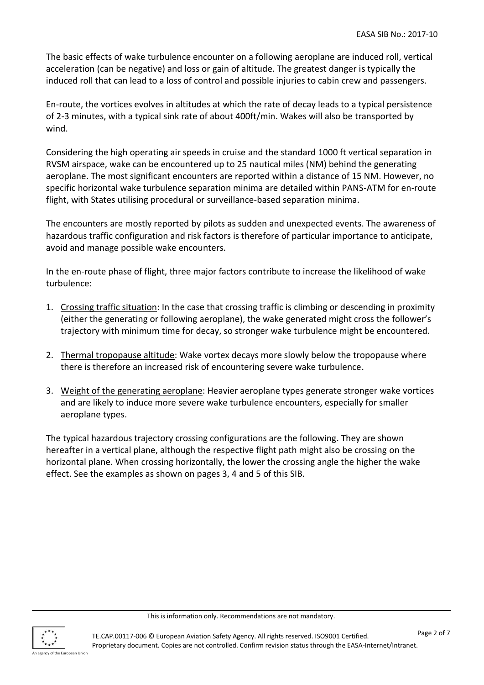The basic effects of wake turbulence encounter on a following aeroplane are induced roll, vertical acceleration (can be negative) and loss or gain of altitude. The greatest danger is typically the induced roll that can lead to a loss of control and possible injuries to cabin crew and passengers.

En-route, the vortices evolves in altitudes at which the rate of decay leads to a typical persistence of 2-3 minutes, with a typical sink rate of about 400ft/min. Wakes will also be transported by wind.

Considering the high operating air speeds in cruise and the standard 1000 ft vertical separation in RVSM airspace, wake can be encountered up to 25 nautical miles (NM) behind the generating aeroplane. The most significant encounters are reported within a distance of 15 NM. However, no specific horizontal wake turbulence separation minima are detailed within PANS-ATM for en-route flight, with States utilising procedural or surveillance-based separation minima.

The encounters are mostly reported by pilots as sudden and unexpected events. The awareness of hazardous traffic configuration and risk factors is therefore of particular importance to anticipate, avoid and manage possible wake encounters.

In the en-route phase of flight, three major factors contribute to increase the likelihood of wake turbulence:

- 1. Crossing traffic situation: In the case that crossing traffic is climbing or descending in proximity (either the generating or following aeroplane), the wake generated might cross the follower's trajectory with minimum time for decay, so stronger wake turbulence might be encountered.
- 2. Thermal tropopause altitude: Wake vortex decays more slowly below the tropopause where there is therefore an increased risk of encountering severe wake turbulence.
- 3. Weight of the generating aeroplane: Heavier aeroplane types generate stronger wake vortices and are likely to induce more severe wake turbulence encounters, especially for smaller aeroplane types.

The typical hazardous trajectory crossing configurations are the following. They are shown hereafter in a vertical plane, although the respective flight path might also be crossing on the horizontal plane. When crossing horizontally, the lower the crossing angle the higher the wake effect. See the examples as shown on pages 3, 4 and 5 of this SIB.

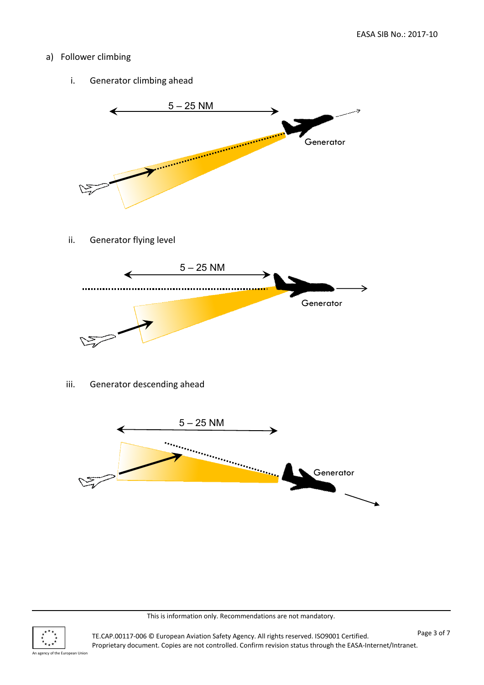# a) Follower climbing

i. Generator climbing ahead



ii. Generator flying level



iii. Generator descending ahead



This is information only. Recommendations are not mandatory.

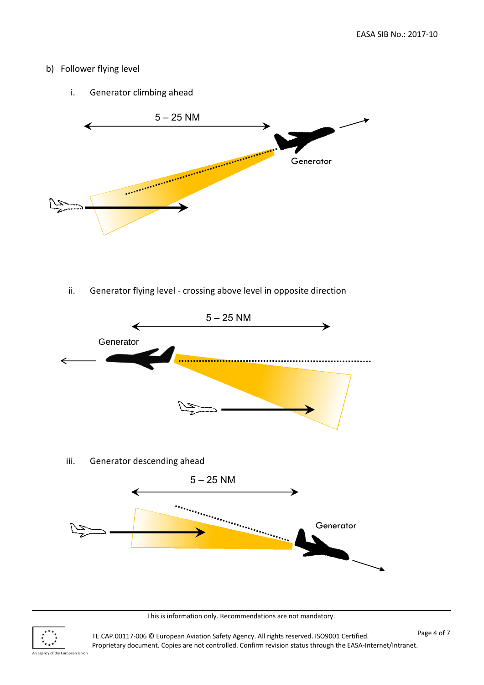#### b) Follower flying level

i. Generator climbing ahead



ii. Generator flying level - crossing above level in opposite direction



This is information only. Recommendations are not mandatory.



TE.CAP.00117-006 © European Aviation Safety Agency. All rights reserved. ISO9001 Certified. Proprietary document. Copies are not controlled. Confirm revision status through the EASA-Internet/Intranet.

An agency of the European Union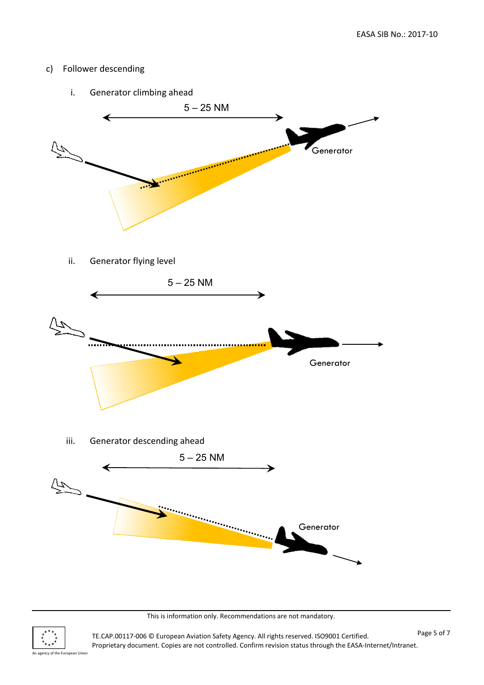#### c) Follower descending



This is information only. Recommendations are not mandatory.



TE.CAP.00117-006 © European Aviation Safety Agency. All rights reserved. ISO9001 Certified. Proprietary document. Copies are not controlled. Confirm revision status through the EASA-Internet/Intranet.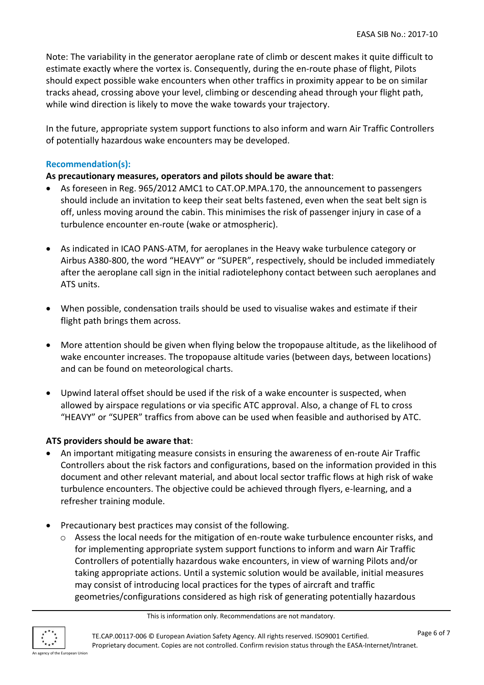Note: The variability in the generator aeroplane rate of climb or descent makes it quite difficult to estimate exactly where the vortex is. Consequently, during the en-route phase of flight, Pilots should expect possible wake encounters when other traffics in proximity appear to be on similar tracks ahead, crossing above your level, climbing or descending ahead through your flight path, while wind direction is likely to move the wake towards your trajectory.

In the future, appropriate system support functions to also inform and warn Air Traffic Controllers of potentially hazardous wake encounters may be developed.

### **Recommendation(s):**

### **As precautionary measures, operators and pilots should be aware that**:

- As foreseen in Reg. 965/2012 AMC1 to CAT.OP.MPA.170, the announcement to passengers should include an invitation to keep their seat belts fastened, even when the seat belt sign is off, unless moving around the cabin. This minimises the risk of passenger injury in case of a turbulence encounter en-route (wake or atmospheric).
- As indicated in ICAO PANS-ATM, for aeroplanes in the Heavy wake turbulence category or Airbus A380-800, the word "HEAVY" or "SUPER", respectively, should be included immediately after the aeroplane call sign in the initial radiotelephony contact between such aeroplanes and ATS units.
- When possible, condensation trails should be used to visualise wakes and estimate if their flight path brings them across.
- More attention should be given when flying below the tropopause altitude, as the likelihood of wake encounter increases. The tropopause altitude varies (between days, between locations) and can be found on meteorological charts.
- Upwind lateral offset should be used if the risk of a wake encounter is suspected, when allowed by airspace regulations or via specific ATC approval. Also, a change of FL to cross "HEAVY" or "SUPER" traffics from above can be used when feasible and authorised by ATC.

#### **ATS providers should be aware that**:

- An important mitigating measure consists in ensuring the awareness of en-route Air Traffic Controllers about the risk factors and configurations, based on the information provided in this document and other relevant material, and about local sector traffic flows at high risk of wake turbulence encounters. The objective could be achieved through flyers, e-learning, and a refresher training module.
- Precautionary best practices may consist of the following.
	- o Assess the local needs for the mitigation of en-route wake turbulence encounter risks, and for implementing appropriate system support functions to inform and warn Air Traffic Controllers of potentially hazardous wake encounters, in view of warning Pilots and/or taking appropriate actions. Until a systemic solution would be available, initial measures may consist of introducing local practices for the types of aircraft and traffic geometries/configurations considered as high risk of generating potentially hazardous